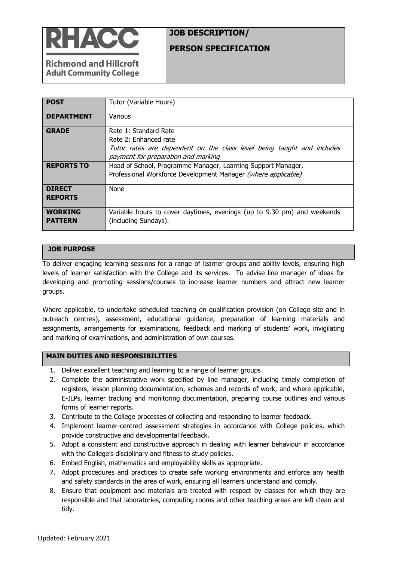

# **JOB DESCRIPTION/**

### **PERSON SPECIFICATION**

**Richmond and Hillcroft Adult Community College** 

| <b>POST</b>                      | Tutor (Variable Hours)                                                                                                                                          |  |  |  |
|----------------------------------|-----------------------------------------------------------------------------------------------------------------------------------------------------------------|--|--|--|
| <b>DEPARTMENT</b>                | Various                                                                                                                                                         |  |  |  |
| <b>GRADE</b>                     | Rate 1: Standard Rate<br>Rate 2: Enhanced rate<br>Tutor rates are dependent on the class level being taught and includes<br>payment for preparation and marking |  |  |  |
| <b>REPORTS TO</b>                | Head of School, Programme Manager, Learning Support Manager,<br>Professional Workforce Development Manager (where applicable)                                   |  |  |  |
| <b>DIRECT</b><br><b>REPORTS</b>  | <b>None</b>                                                                                                                                                     |  |  |  |
| <b>WORKING</b><br><b>PATTERN</b> | Variable hours to cover daytimes, evenings (up to 9.30 pm) and weekends<br>(including Sundays).                                                                 |  |  |  |

### **JOB PURPOSE**

To deliver engaging learning sessions for a range of learner groups and ability levels, ensuring high levels of learner satisfaction with the College and its services. To advise line manager of ideas for developing and promoting sessions/courses to increase learner numbers and attract new learner groups.

Where applicable, to undertake scheduled teaching on qualification provision (on College site and in outreach centres), assessment, educational guidance, preparation of learning materials and assignments, arrangements for examinations, feedback and marking of students' work, invigilating and marking of examinations, and administration of own courses.

#### **MAIN DUTIES AND RESPONSIBILITIES**

- 1. Deliver excellent teaching and learning to a range of learner groups
- 2. Complete the administrative work specified by line manager, including timely completion of registers, lesson planning documentation, schemes and records of work, and where applicable, E-ILPs, learner tracking and monitoring documentation, preparing course outlines and various forms of learner reports.
- 3. Contribute to the College processes of collecting and responding to learner feedback.
- 4. Implement learner-centred assessment strategies in accordance with College policies, which provide constructive and developmental feedback.
- 5. Adopt a consistent and constructive approach in dealing with learner behaviour in accordance with the College's disciplinary and fitness to study policies.
- 6. Embed English, mathematics and employability skills as appropriate.
- 7. Adopt procedures and practices to create safe working environments and enforce any health and safety standards in the area of work, ensuring all learners understand and comply.
- 8. Ensure that equipment and materials are treated with respect by classes for which they are responsible and that laboratories, computing rooms and other teaching areas are left clean and tidy.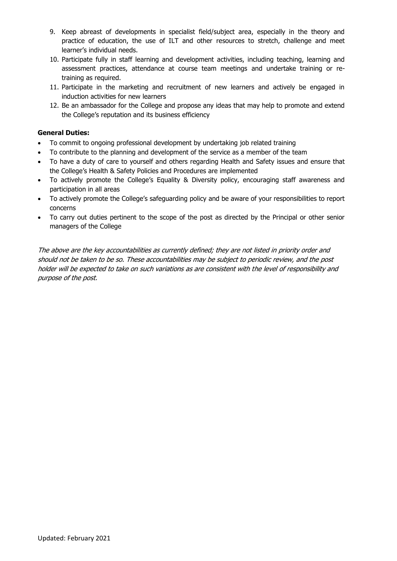- 9. Keep abreast of developments in specialist field/subject area, especially in the theory and practice of education, the use of ILT and other resources to stretch, challenge and meet learner's individual needs.
- 10. Participate fully in staff learning and development activities, including teaching, learning and assessment practices, attendance at course team meetings and undertake training or retraining as required.
- 11. Participate in the marketing and recruitment of new learners and actively be engaged in induction activities for new learners
- 12. Be an ambassador for the College and propose any ideas that may help to promote and extend the College's reputation and its business efficiency

#### **General Duties:**

- To commit to ongoing professional development by undertaking job related training
- To contribute to the planning and development of the service as a member of the team
- To have a duty of care to yourself and others regarding Health and Safety issues and ensure that the College's Health & Safety Policies and Procedures are implemented
- To actively promote the College's Equality & Diversity policy, encouraging staff awareness and participation in all areas
- To actively promote the College's safeguarding policy and be aware of your responsibilities to report concerns
- To carry out duties pertinent to the scope of the post as directed by the Principal or other senior managers of the College

The above are the key accountabilities as currently defined; they are not listed in priority order and should not be taken to be so. These accountabilities may be subject to periodic review, and the post holder will be expected to take on such variations as are consistent with the level of responsibility and purpose of the post.